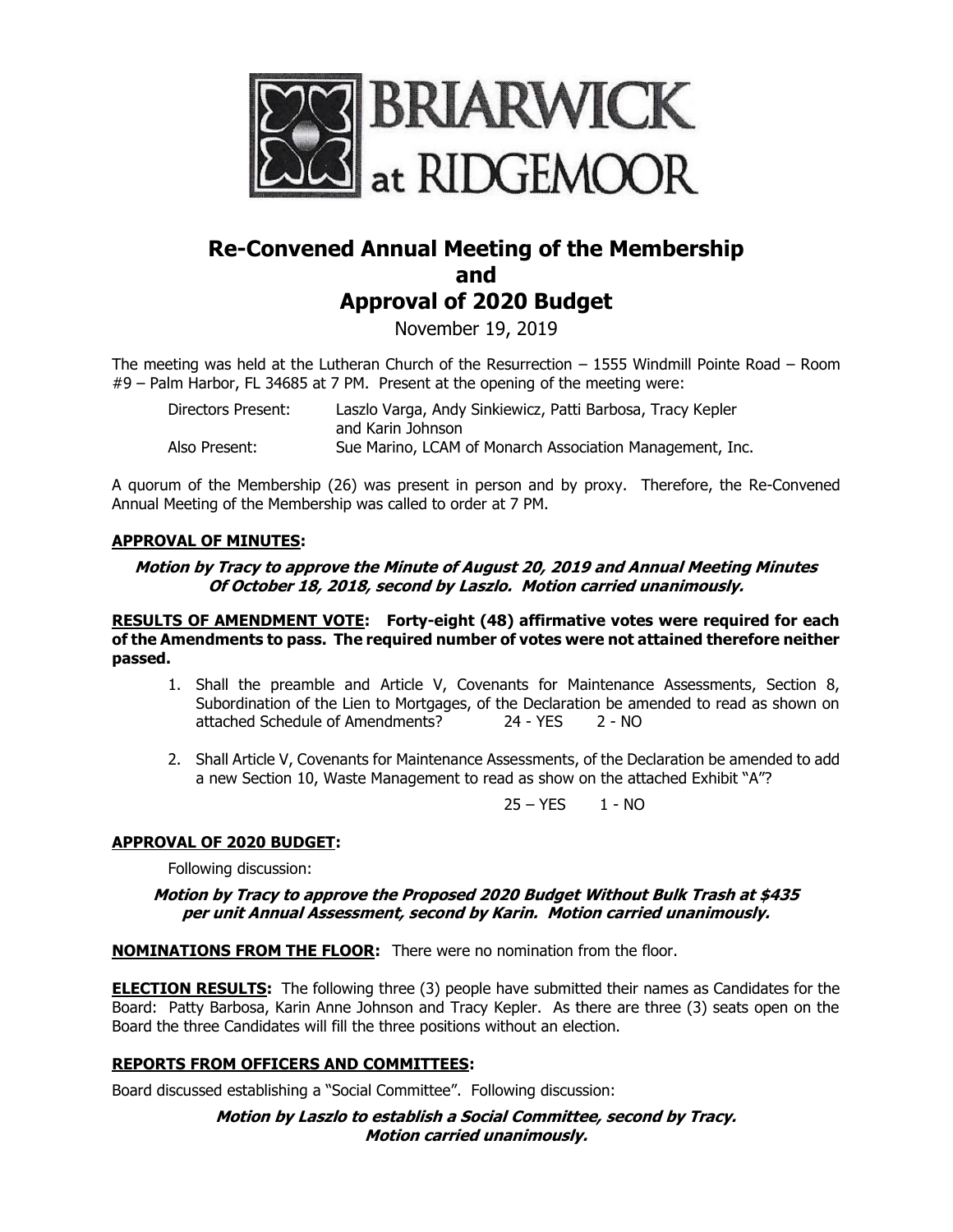

# **Re-Convened Annual Meeting of the Membership and Approval of 2020 Budget**

November 19, 2019

The meeting was held at the Lutheran Church of the Resurrection – 1555 Windmill Pointe Road – Room #9 – Palm Harbor, FL 34685 at 7 PM. Present at the opening of the meeting were:

| Directors Present: | Laszlo Varga, Andy Sinkiewicz, Patti Barbosa, Tracy Kepler |
|--------------------|------------------------------------------------------------|
|                    | and Karin Johnson                                          |
| Also Present:      | Sue Marino, LCAM of Monarch Association Management, Inc.   |

A quorum of the Membership (26) was present in person and by proxy. Therefore, the Re-Convened Annual Meeting of the Membership was called to order at 7 PM.

## **APPROVAL OF MINUTES:**

## **Motion by Tracy to approve the Minute of August 20, 2019 and Annual Meeting Minutes Of October 18, 2018, second by Laszlo. Motion carried unanimously.**

**RESULTS OF AMENDMENT VOTE: Forty-eight (48) affirmative votes were required for each of the Amendments to pass. The required number of votes were not attained therefore neither passed.**

- 1. Shall the preamble and Article V, Covenants for Maintenance Assessments, Section 8, Subordination of the Lien to Mortgages, of the Declaration be amended to read as shown on attached Schedule of Amendments? 24 - YES 2 - NO
- 2. Shall Article V, Covenants for Maintenance Assessments, of the Declaration be amended to add a new Section 10, Waste Management to read as show on the attached Exhibit "A"?

 $25 - YES$  1 - NO

## **APPROVAL OF 2020 BUDGET:**

Following discussion:

#### **Motion by Tracy to approve the Proposed 2020 Budget Without Bulk Trash at \$435 per unit Annual Assessment, second by Karin. Motion carried unanimously.**

**NOMINATIONS FROM THE FLOOR:** There were no nomination from the floor.

**ELECTION RESULTS:** The following three (3) people have submitted their names as Candidates for the Board: Patty Barbosa, Karin Anne Johnson and Tracy Kepler. As there are three (3) seats open on the Board the three Candidates will fill the three positions without an election.

## **REPORTS FROM OFFICERS AND COMMITTEES:**

Board discussed establishing a "Social Committee". Following discussion:

#### **Motion by Laszlo to establish a Social Committee, second by Tracy. Motion carried unanimously.**